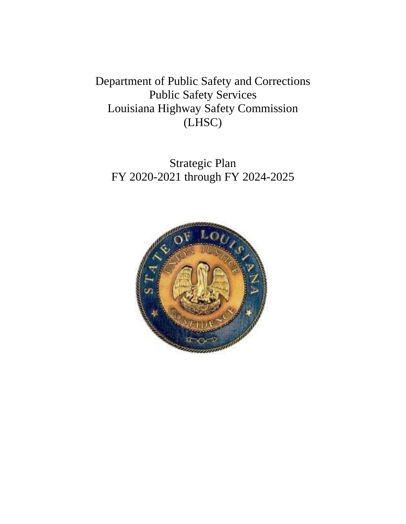Department of Public Safety and Corrections Public Safety Services Louisiana Highway Safety Commission (LHSC)

Strategic Plan FY 2020-2021 through FY 2024-2025

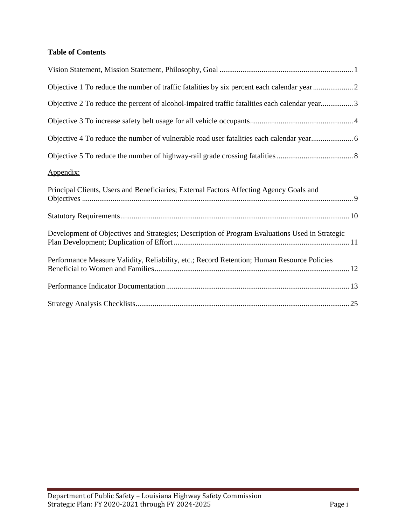## **Table of Contents**

| Objective 1 To reduce the number of traffic fatalities by six percent each calendar year2      |
|------------------------------------------------------------------------------------------------|
| Objective 2 To reduce the percent of alcohol-impaired traffic fatalities each calendar year3   |
|                                                                                                |
|                                                                                                |
|                                                                                                |
| Appendix:                                                                                      |
| Principal Clients, Users and Beneficiaries; External Factors Affecting Agency Goals and        |
|                                                                                                |
| Development of Objectives and Strategies; Description of Program Evaluations Used in Strategic |
| Performance Measure Validity, Reliability, etc.; Record Retention; Human Resource Policies     |
|                                                                                                |
|                                                                                                |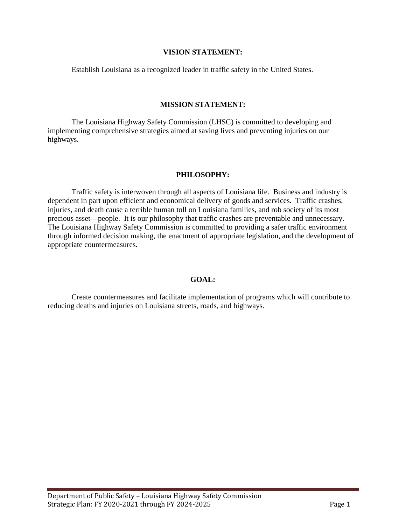#### **VISION STATEMENT:**

Establish Louisiana as a recognized leader in traffic safety in the United States.

#### **MISSION STATEMENT:**

The Louisiana Highway Safety Commission (LHSC) is committed to developing and implementing comprehensive strategies aimed at saving lives and preventing injuries on our highways.

#### **PHILOSOPHY:**

Traffic safety is interwoven through all aspects of Louisiana life. Business and industry is dependent in part upon efficient and economical delivery of goods and services. Traffic crashes, injuries, and death cause a terrible human toll on Louisiana families, and rob society of its most precious asset—people. It is our philosophy that traffic crashes are preventable and unnecessary. The Louisiana Highway Safety Commission is committed to providing a safer traffic environment through informed decision making, the enactment of appropriate legislation, and the development of appropriate countermeasures.

#### **GOAL:**

Create countermeasures and facilitate implementation of programs which will contribute to reducing deaths and injuries on Louisiana streets, roads, and highways.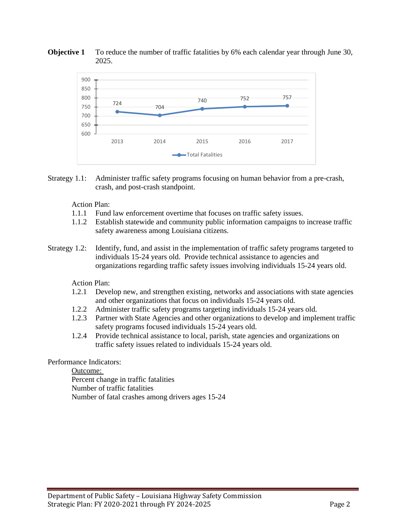



Strategy 1.1: Administer traffic safety programs focusing on human behavior from a pre-crash, crash, and post-crash standpoint.

#### Action Plan:

- 1.1.1 Fund law enforcement overtime that focuses on traffic safety issues.
- 1.1.2 Establish statewide and community public information campaigns to increase traffic safety awareness among Louisiana citizens.
- Strategy 1.2: Identify, fund, and assist in the implementation of traffic safety programs targeted to individuals 15-24 years old. Provide technical assistance to agencies and organizations regarding traffic safety issues involving individuals 15-24 years old.

Action Plan:

- 1.2.1 Develop new, and strengthen existing, networks and associations with state agencies and other organizations that focus on individuals 15-24 years old.
- 1.2.2 Administer traffic safety programs targeting individuals 15-24 years old.
- 1.2.3 Partner with State Agencies and other organizations to develop and implement traffic safety programs focused individuals 15-24 years old.
- 1.2.4 Provide technical assistance to local, parish, state agencies and organizations on traffic safety issues related to individuals 15-24 years old.

#### Performance Indicators:

Outcome: Percent change in traffic fatalities Number of traffic fatalities Number of fatal crashes among drivers ages 15-24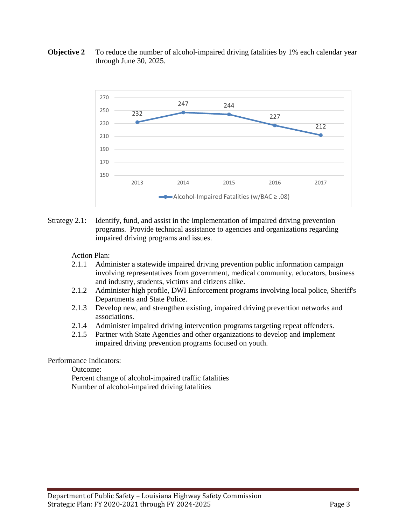



Strategy 2.1: Identify, fund, and assist in the implementation of impaired driving prevention programs. Provide technical assistance to agencies and organizations regarding impaired driving programs and issues.

#### Action Plan:

- 2.1.1 Administer a statewide impaired driving prevention public information campaign involving representatives from government, medical community, educators, business and industry, students, victims and citizens alike.
- 2.1.2 Administer high profile, DWI Enforcement programs involving local police, Sheriff's Departments and State Police.
- 2.1.3 Develop new, and strengthen existing, impaired driving prevention networks and associations.
- 2.1.4 Administer impaired driving intervention programs targeting repeat offenders.
- 2.1.5 Partner with State Agencies and other organizations to develop and implement impaired driving prevention programs focused on youth.

#### Performance Indicators:

Outcome:

Percent change of alcohol-impaired traffic fatalities Number of alcohol-impaired driving fatalities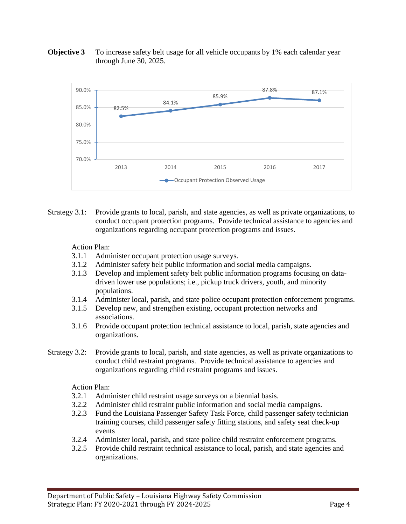



Strategy 3.1: Provide grants to local, parish, and state agencies, as well as private organizations, to conduct occupant protection programs. Provide technical assistance to agencies and organizations regarding occupant protection programs and issues.

#### Action Plan:

- 3.1.1 Administer occupant protection usage surveys.
- 3.1.2 Administer safety belt public information and social media campaigns.
- 3.1.3 Develop and implement safety belt public information programs focusing on datadriven lower use populations; i.e., pickup truck drivers, youth, and minority populations.
- 3.1.4 Administer local, parish, and state police occupant protection enforcement programs.
- 3.1.5 Develop new, and strengthen existing, occupant protection networks and associations.
- 3.1.6 Provide occupant protection technical assistance to local, parish, state agencies and organizations.
- Strategy 3.2: Provide grants to local, parish, and state agencies, as well as private organizations to conduct child restraint programs. Provide technical assistance to agencies and organizations regarding child restraint programs and issues.

#### Action Plan:

- 3.2.1 Administer child restraint usage surveys on a biennial basis.
- 3.2.2 Administer child restraint public information and social media campaigns.
- 3.2.3 Fund the Louisiana Passenger Safety Task Force, child passenger safety technician training courses, child passenger safety fitting stations, and safety seat check-up events
- 3.2.4 Administer local, parish, and state police child restraint enforcement programs.
- 3.2.5 Provide child restraint technical assistance to local, parish, and state agencies and organizations.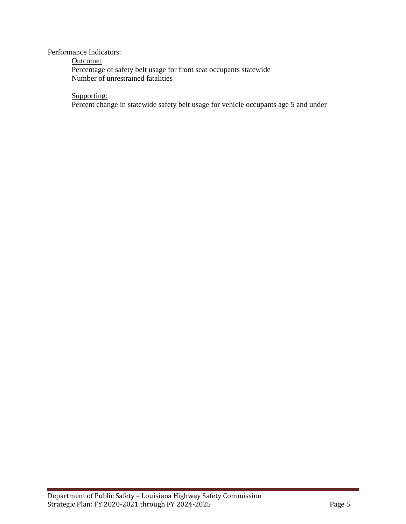Performance Indicators:

Outcome:

Percentage of safety belt usage for front seat occupants statewide Number of unrestrained fatalities

Supporting:

Percent change in statewide safety belt usage for vehicle occupants age 5 and under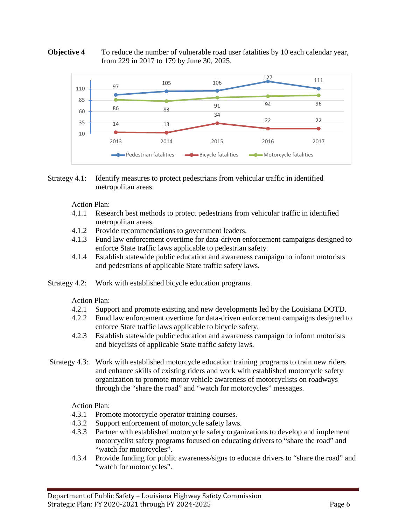#### **Objective 4** To reduce the number of vulnerable road user fatalities by 10 each calendar year, from 229 in 2017 to 179 by June 30, 2025.



#### Strategy 4.1: Identify measures to protect pedestrians from vehicular traffic in identified metropolitan areas.

Action Plan:

- 4.1.1 Research best methods to protect pedestrians from vehicular traffic in identified metropolitan areas.
- 4.1.2 Provide recommendations to government leaders.
- 4.1.3 Fund law enforcement overtime for data-driven enforcement campaigns designed to enforce State traffic laws applicable to pedestrian safety.
- 4.1.4 Establish statewide public education and awareness campaign to inform motorists and pedestrians of applicable State traffic safety laws.
- Strategy 4.2: Work with established bicycle education programs.

Action Plan:

- 4.2.1 Support and promote existing and new developments led by the Louisiana DOTD.
- 4.2.2 Fund law enforcement overtime for data-driven enforcement campaigns designed to enforce State traffic laws applicable to bicycle safety.
- 4.2.3 Establish statewide public education and awareness campaign to inform motorists and bicyclists of applicable State traffic safety laws.
- Strategy 4.3: Work with established motorcycle education training programs to train new riders and enhance skills of existing riders and work with established motorcycle safety organization to promote motor vehicle awareness of motorcyclists on roadways through the "share the road" and "watch for motorcycles" messages.

Action Plan:

- 4.3.1 Promote motorcycle operator training courses.
- 4.3.2 Support enforcement of motorcycle safety laws.
- 4.3.3 Partner with established motorcycle safety organizations to develop and implement motorcyclist safety programs focused on educating drivers to "share the road" and "watch for motorcycles".
- 4.3.4 Provide funding for public awareness/signs to educate drivers to "share the road" and "watch for motorcycles".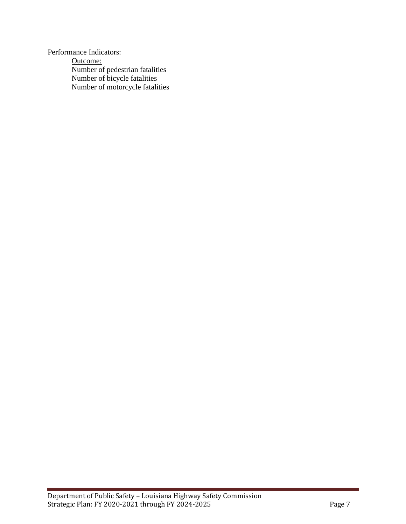Performance Indicators: Outcome: Number of pedestrian fatalities Number of bicycle fatalities Number of motorcycle fatalities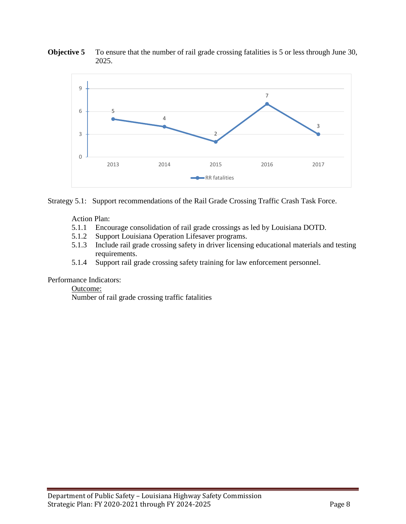

**Objective 5** To ensure that the number of rail grade crossing fatalities is 5 or less through June 30, 2025.

Strategy 5.1: Support recommendations of the Rail Grade Crossing Traffic Crash Task Force.

Action Plan:

- 5.1.1 Encourage consolidation of rail grade crossings as led by Louisiana DOTD.
- 5.1.2 Support Louisiana Operation Lifesaver programs.
- 5.1.3 Include rail grade crossing safety in driver licensing educational materials and testing requirements.
- 5.1.4 Support rail grade crossing safety training for law enforcement personnel.

Performance Indicators:

Outcome:

Number of rail grade crossing traffic fatalities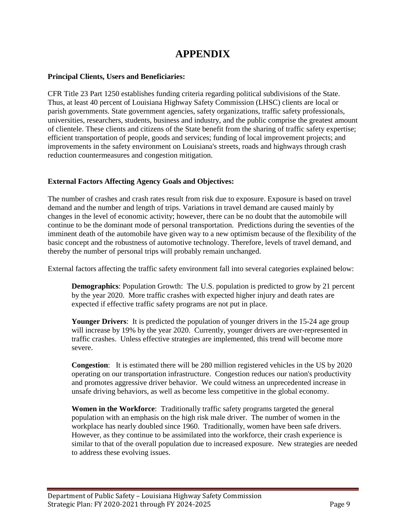# **APPENDIX**

#### **Principal Clients, Users and Beneficiaries:**

CFR Title 23 Part 1250 establishes funding criteria regarding political subdivisions of the State. Thus, at least 40 percent of Louisiana Highway Safety Commission (LHSC) clients are local or parish governments. State government agencies, safety organizations, traffic safety professionals, universities, researchers, students, business and industry, and the public comprise the greatest amount of clientele. These clients and citizens of the State benefit from the sharing of traffic safety expertise; efficient transportation of people, goods and services; funding of local improvement projects; and improvements in the safety environment on Louisiana's streets, roads and highways through crash reduction countermeasures and congestion mitigation.

#### **External Factors Affecting Agency Goals and Objectives:**

The number of crashes and crash rates result from risk due to exposure. Exposure is based on travel demand and the number and length of trips. Variations in travel demand are caused mainly by changes in the level of economic activity; however, there can be no doubt that the automobile will continue to be the dominant mode of personal transportation. Predictions during the seventies of the imminent death of the automobile have given way to a new optimism because of the flexibility of the basic concept and the robustness of automotive technology. Therefore, levels of travel demand, and thereby the number of personal trips will probably remain unchanged.

External factors affecting the traffic safety environment fall into several categories explained below:

**Demographics**: Population Growth: The U.S. population is predicted to grow by 21 percent by the year 2020. More traffic crashes with expected higher injury and death rates are expected if effective traffic safety programs are not put in place.

**Younger Drivers**: It is predicted the population of younger drivers in the 15-24 age group will increase by 19% by the year 2020. Currently, younger drivers are over-represented in traffic crashes. Unless effective strategies are implemented, this trend will become more severe.

**Congestion**: It is estimated there will be 280 million registered vehicles in the US by 2020 operating on our transportation infrastructure. Congestion reduces our nation's productivity and promotes aggressive driver behavior. We could witness an unprecedented increase in unsafe driving behaviors, as well as become less competitive in the global economy.

**Women in the Workforce**: Traditionally traffic safety programs targeted the general population with an emphasis on the high risk male driver. The number of women in the workplace has nearly doubled since 1960. Traditionally, women have been safe drivers. However, as they continue to be assimilated into the workforce, their crash experience is similar to that of the overall population due to increased exposure. New strategies are needed to address these evolving issues.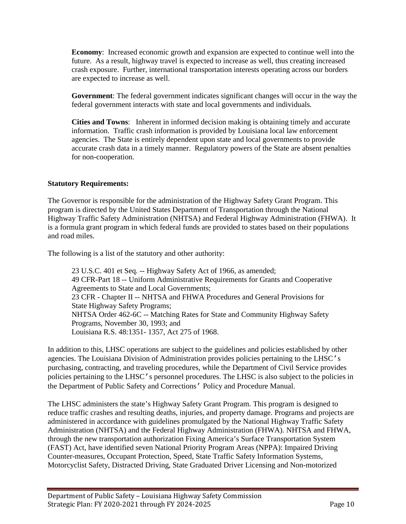**Economy**: Increased economic growth and expansion are expected to continue well into the future. As a result, highway travel is expected to increase as well, thus creating increased crash exposure. Further, international transportation interests operating across our borders are expected to increase as well.

**Government**: The federal government indicates significant changes will occur in the way the federal government interacts with state and local governments and individuals.

**Cities and Towns**: Inherent in informed decision making is obtaining timely and accurate information. Traffic crash information is provided by Louisiana local law enforcement agencies. The State is entirely dependent upon state and local governments to provide accurate crash data in a timely manner. Regulatory powers of the State are absent penalties for non-cooperation.

## **Statutory Requirements:**

The Governor is responsible for the administration of the Highway Safety Grant Program. This program is directed by the United States Department of Transportation through the National Highway Traffic Safety Administration (NHTSA) and Federal Highway Administration (FHWA). It is a formula grant program in which federal funds are provided to states based on their populations and road miles.

The following is a list of the statutory and other authority:

23 U.S.C. 401 et Seq. -- Highway Safety Act of 1966, as amended; 49 CFR-Part 18 -- Uniform Administrative Requirements for Grants and Cooperative Agreements to State and Local Governments; 23 CFR - Chapter II -- NHTSA and FHWA Procedures and General Provisions for State Highway Safety Programs; NHTSA Order 462-6C -- Matching Rates for State and Community Highway Safety Programs, November 30, 1993; and Louisiana R.S. 48:1351- 1357, Act 275 of 1968.

In addition to this, LHSC operations are subject to the guidelines and policies established by other agencies. The Louisiana Division of Administration provides policies pertaining to the LHSC's purchasing, contracting, and traveling procedures, while the Department of Civil Service provides policies pertaining to the LHSC's personnel procedures. The LHSC is also subject to the policies in the Department of Public Safety and Corrections' Policy and Procedure Manual.

The LHSC administers the state's Highway Safety Grant Program. This program is designed to reduce traffic crashes and resulting deaths, injuries, and property damage. Programs and projects are administered in accordance with guidelines promulgated by the National Highway Traffic Safety Administration (NHTSA) and the Federal Highway Administration (FHWA). NHTSA and FHWA, through the new transportation authorization Fixing America's Surface Transportation System (FAST) Act, have identified seven National Priority Program Areas (NPPA): Impaired Driving Counter-measures, Occupant Protection, Speed, State Traffic Safety Information Systems, Motorcyclist Safety, Distracted Driving, State Graduated Driver Licensing and Non-motorized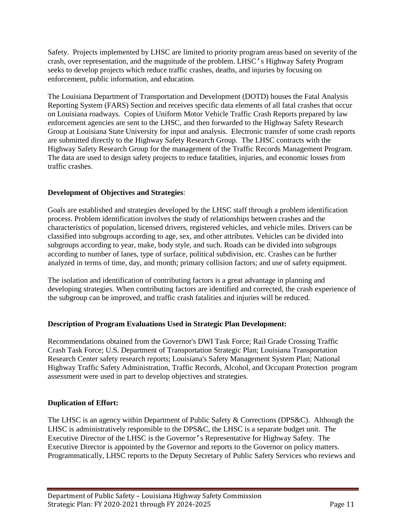Safety. Projects implemented by LHSC are limited to priority program areas based on severity of the crash, over representation, and the magnitude of the problem. LHSC's Highway Safety Program seeks to develop projects which reduce traffic crashes, deaths, and injuries by focusing on enforcement, public information, and education.

The Louisiana Department of Transportation and Development (DOTD) houses the Fatal Analysis Reporting System (FARS) Section and receives specific data elements of all fatal crashes that occur on Louisiana roadways. Copies of Uniform Motor Vehicle Traffic Crash Reports prepared by law enforcement agencies are sent to the LHSC, and then forwarded to the Highway Safety Research Group at Louisiana State University for input and analysis. Electronic transfer of some crash reports are submitted directly to the Highway Safety Research Group. The LHSC contracts with the Highway Safety Research Group for the management of the Traffic Records Management Program. The data are used to design safety projects to reduce fatalities, injuries, and economic losses from traffic crashes.

## **Development of Objectives and Strategies**:

Goals are established and strategies developed by the LHSC staff through a problem identification process. Problem identification involves the study of relationships between crashes and the characteristics of population, licensed drivers, registered vehicles, and vehicle miles. Drivers can be classified into subgroups according to age, sex, and other attributes. Vehicles can be divided into subgroups according to year, make, body style, and such. Roads can be divided into subgroups according to number of lanes, type of surface, political subdivision, etc. Crashes can be further analyzed in terms of time, day, and month; primary collision factors; and use of safety equipment.

The isolation and identification of contributing factors is a great advantage in planning and developing strategies. When contributing factors are identified and corrected, the crash experience of the subgroup can be improved, and traffic crash fatalities and injuries will be reduced.

## **Description of Program Evaluations Used in Strategic Plan Development:**

Recommendations obtained from the Governor's DWI Task Force; Rail Grade Crossing Traffic Crash Task Force; U.S. Department of Transportation Strategic Plan; Louisiana Transportation Research Center safety research reports; Louisiana's Safety Management System Plan; National Highway Traffic Safety Administration, Traffic Records, Alcohol, and Occupant Protection program assessment were used in part to develop objectives and strategies.

## **Duplication of Effort:**

The LHSC is an agency within Department of Public Safety & Corrections (DPS&C). Although the LHSC is administratively responsible to the DPS&C, the LHSC is a separate budget unit. The Executive Director of the LHSC is the Governor's Representative for Highway Safety. The Executive Director is appointed by the Governor and reports to the Governor on policy matters. Programmatically, LHSC reports to the Deputy Secretary of Public Safety Services who reviews and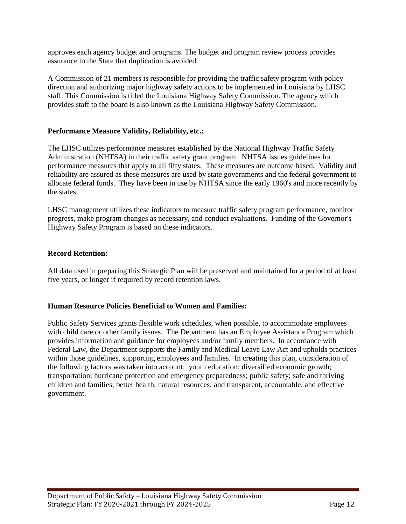approves each agency budget and programs. The budget and program review process provides assurance to the State that duplication is avoided.

A Commission of 21 members is responsible for providing the traffic safety program with policy direction and authorizing major highway safety actions to be implemented in Louisiana by LHSC staff. This Commission is titled the Louisiana Highway Safety Commission. The agency which provides staff to the board is also known as the Louisiana Highway Safety Commission.

#### **Performance Measure Validity, Reliability, etc.:**

The LHSC utilizes performance measures established by the National Highway Traffic Safety Administration (NHTSA) in their traffic safety grant program. NHTSA issues guidelines for performance measures that apply to all fifty states. These measures are outcome based. Validity and reliability are assured as these measures are used by state governments and the federal government to allocate federal funds. They have been in use by NHTSA since the early 1960's and more recently by the states.

LHSC management utilizes these indicators to measure traffic safety program performance, monitor progress, make program changes as necessary, and conduct evaluations. Funding of the Governor's Highway Safety Program is based on these indicators.

#### **Record Retention:**

All data used in preparing this Strategic Plan will be preserved and maintained for a period of at least five years, or longer if required by record retention laws.

#### **Human Resource Policies Beneficial to Women and Families:**

Public Safety Services grants flexible work schedules, when possible, to accommodate employees with child care or other family issues. The Department has an Employee Assistance Program which provides information and guidance for employees and/or family members. In accordance with Federal Law, the Department supports the Family and Medical Leave Law Act and upholds practices within those guidelines, supporting employees and families. In creating this plan, consideration of the following factors was taken into account: youth education; diversified economic growth; transportation; hurricane protection and emergency preparedness; public safety; safe and thriving children and families; better health; natural resources; and transparent, accountable, and effective government.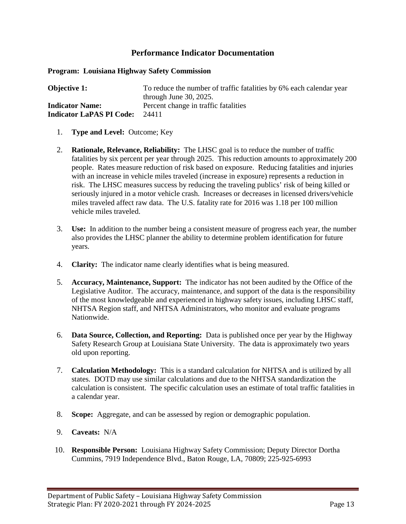**Program: Louisiana Highway Safety Commission** 

| <b>Objective 1:</b>             | To reduce the number of traffic fatalities by 6% each calendar year |
|---------------------------------|---------------------------------------------------------------------|
|                                 | through June $30, 2025$ .                                           |
| <b>Indicator Name:</b>          | Percent change in traffic fatalities                                |
| <b>Indicator LaPAS PI Code:</b> | 24411                                                               |

- 1. **Type and Level:** Outcome; Key
- 2. **Rationale, Relevance, Reliability:** The LHSC goal is to reduce the number of traffic fatalities by six percent per year through 2025. This reduction amounts to approximately 200 people. Rates measure reduction of risk based on exposure. Reducing fatalities and injuries with an increase in vehicle miles traveled (increase in exposure) represents a reduction in risk. The LHSC measures success by reducing the traveling publics' risk of being killed or seriously injured in a motor vehicle crash. Increases or decreases in licensed drivers/vehicle miles traveled affect raw data. The U.S. fatality rate for 2016 was 1.18 per 100 million vehicle miles traveled.
- 3. **Use:** In addition to the number being a consistent measure of progress each year, the number also provides the LHSC planner the ability to determine problem identification for future years.
- 4. **Clarity:** The indicator name clearly identifies what is being measured.
- 5. **Accuracy, Maintenance, Support:** The indicator has not been audited by the Office of the Legislative Auditor. The accuracy, maintenance, and support of the data is the responsibility of the most knowledgeable and experienced in highway safety issues, including LHSC staff, NHTSA Region staff, and NHTSA Administrators, who monitor and evaluate programs Nationwide.
- 6. **Data Source, Collection, and Reporting:** Data is published once per year by the Highway Safety Research Group at Louisiana State University. The data is approximately two years old upon reporting.
- 7. **Calculation Methodology:** This is a standard calculation for NHTSA and is utilized by all states. DOTD may use similar calculations and due to the NHTSA standardization the calculation is consistent. The specific calculation uses an estimate of total traffic fatalities in a calendar year.
- 8. **Scope:** Aggregate, and can be assessed by region or demographic population.
- 9. **Caveats:** N/A
- 10. **Responsible Person:** Louisiana Highway Safety Commission; Deputy Director Dortha Cummins, 7919 Independence Blvd., Baton Rouge, LA, 70809; 225-925-6993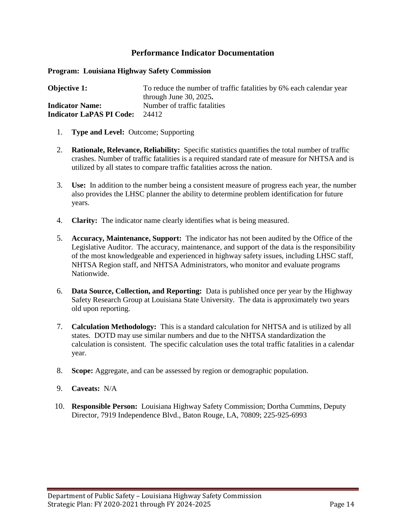**Program: Louisiana Highway Safety Commission** 

**Objective 1:** To reduce the number of traffic fatalities by 6% each calendar year through June 30, 2025**. Indicator Name:** Number of traffic fatalities **Indicator LaPAS PI Code:** 24412

- 1. **Type and Level:** Outcome; Supporting
- 2. **Rationale, Relevance, Reliability:** Specific statistics quantifies the total number of traffic crashes. Number of traffic fatalities is a required standard rate of measure for NHTSA and is utilized by all states to compare traffic fatalities across the nation.
- 3. **Use:** In addition to the number being a consistent measure of progress each year, the number also provides the LHSC planner the ability to determine problem identification for future years.
- 4. **Clarity:** The indicator name clearly identifies what is being measured.
- 5. **Accuracy, Maintenance, Support:** The indicator has not been audited by the Office of the Legislative Auditor. The accuracy, maintenance, and support of the data is the responsibility of the most knowledgeable and experienced in highway safety issues, including LHSC staff, NHTSA Region staff, and NHTSA Administrators, who monitor and evaluate programs Nationwide.
- 6. **Data Source, Collection, and Reporting:** Data is published once per year by the Highway Safety Research Group at Louisiana State University. The data is approximately two years old upon reporting.
- 7. **Calculation Methodology:** This is a standard calculation for NHTSA and is utilized by all states. DOTD may use similar numbers and due to the NHTSA standardization the calculation is consistent. The specific calculation uses the total traffic fatalities in a calendar year.
- 8. **Scope:** Aggregate, and can be assessed by region or demographic population.
- 9. **Caveats:** N/A
- 10. **Responsible Person:** Louisiana Highway Safety Commission; Dortha Cummins, Deputy Director, 7919 Independence Blvd., Baton Rouge, LA, 70809; 225-925-6993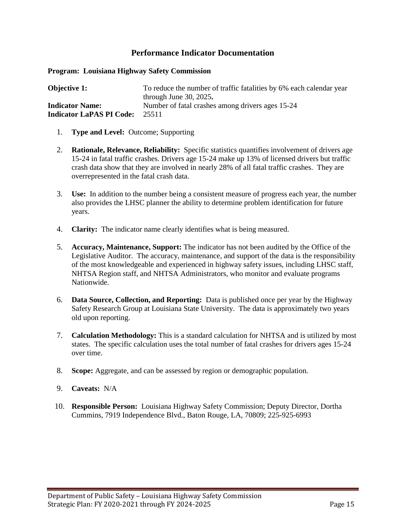**Program: Louisiana Highway Safety Commission** 

**Objective 1:** To reduce the number of traffic fatalities by 6% each calendar year through June 30, 2025**. Indicator Name:** Number of fatal crashes among drivers ages 15-24 **Indicator LaPAS PI Code:** 25511

- 1. **Type and Level:** Outcome; Supporting
- 2. **Rationale, Relevance, Reliability:** Specific statistics quantifies involvement of drivers age 15-24 in fatal traffic crashes. Drivers age 15-24 make up 13% of licensed drivers but traffic crash data show that they are involved in nearly 28% of all fatal traffic crashes. They are overrepresented in the fatal crash data.
- 3. **Use:** In addition to the number being a consistent measure of progress each year, the number also provides the LHSC planner the ability to determine problem identification for future years.
- 4. **Clarity:** The indicator name clearly identifies what is being measured.
- 5. **Accuracy, Maintenance, Support:** The indicator has not been audited by the Office of the Legislative Auditor. The accuracy, maintenance, and support of the data is the responsibility of the most knowledgeable and experienced in highway safety issues, including LHSC staff, NHTSA Region staff, and NHTSA Administrators, who monitor and evaluate programs Nationwide.
- 6. **Data Source, Collection, and Reporting:** Data is published once per year by the Highway Safety Research Group at Louisiana State University. The data is approximately two years old upon reporting.
- 7. **Calculation Methodology:** This is a standard calculation for NHTSA and is utilized by most states. The specific calculation uses the total number of fatal crashes for drivers ages 15-24 over time.
- 8. **Scope:** Aggregate, and can be assessed by region or demographic population.
- 9. **Caveats:** N/A
- 10. **Responsible Person:** Louisiana Highway Safety Commission; Deputy Director, Dortha Cummins, 7919 Independence Blvd., Baton Rouge, LA, 70809; 225-925-6993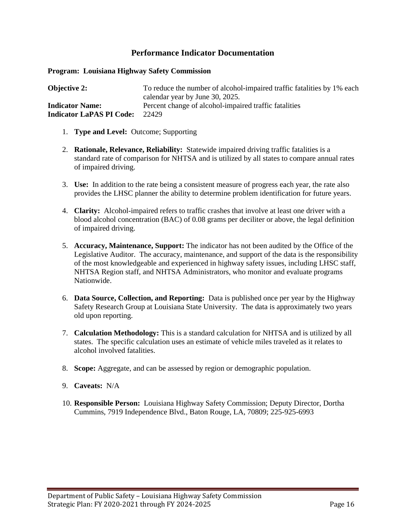**Program: Louisiana Highway Safety Commission** 

**Objective 2:** To reduce the number of alcohol-impaired traffic fatalities by 1% each calendar year by June 30, 2025. **Indicator Name:** Percent change of alcohol-impaired traffic fatalities **Indicator LaPAS PI Code:** 22429

- 1. **Type and Level:** Outcome; Supporting
- 2. **Rationale, Relevance, Reliability:** Statewide impaired driving traffic fatalities is a standard rate of comparison for NHTSA and is utilized by all states to compare annual rates of impaired driving.
- 3. **Use:** In addition to the rate being a consistent measure of progress each year, the rate also provides the LHSC planner the ability to determine problem identification for future years.
- 4. **Clarity:** Alcohol-impaired refers to traffic crashes that involve at least one driver with a blood alcohol concentration (BAC) of 0.08 grams per deciliter or above, the legal definition of impaired driving.
- 5. **Accuracy, Maintenance, Support:** The indicator has not been audited by the Office of the Legislative Auditor. The accuracy, maintenance, and support of the data is the responsibility of the most knowledgeable and experienced in highway safety issues, including LHSC staff, NHTSA Region staff, and NHTSA Administrators, who monitor and evaluate programs Nationwide.
- 6. **Data Source, Collection, and Reporting:** Data is published once per year by the Highway Safety Research Group at Louisiana State University. The data is approximately two years old upon reporting.
- 7. **Calculation Methodology:** This is a standard calculation for NHTSA and is utilized by all states. The specific calculation uses an estimate of vehicle miles traveled as it relates to alcohol involved fatalities.
- 8. **Scope:** Aggregate, and can be assessed by region or demographic population.
- 9. **Caveats:** N/A
- 10. **Responsible Person:** Louisiana Highway Safety Commission; Deputy Director, Dortha Cummins, 7919 Independence Blvd., Baton Rouge, LA, 70809; 225-925-6993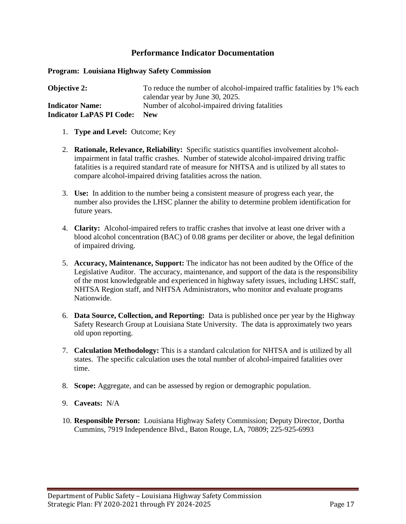**Program: Louisiana Highway Safety Commission** 

| <b>Objective 2:</b>             | To reduce the number of alcohol-impaired traffic fatalities by 1% each |
|---------------------------------|------------------------------------------------------------------------|
|                                 | calendar year by June 30, 2025.                                        |
| <b>Indicator Name:</b>          | Number of alcohol-impaired driving fatalities                          |
| <b>Indicator LaPAS PI Code:</b> | <b>New</b>                                                             |

- 1. **Type and Level:** Outcome; Key
- 2. **Rationale, Relevance, Reliability:** Specific statistics quantifies involvement alcoholimpairment in fatal traffic crashes. Number of statewide alcohol-impaired driving traffic fatalities is a required standard rate of measure for NHTSA and is utilized by all states to compare alcohol-impaired driving fatalities across the nation.
- 3. **Use:** In addition to the number being a consistent measure of progress each year, the number also provides the LHSC planner the ability to determine problem identification for future years.
- 4. **Clarity:** Alcohol-impaired refers to traffic crashes that involve at least one driver with a blood alcohol concentration (BAC) of 0.08 grams per deciliter or above, the legal definition of impaired driving.
- 5. **Accuracy, Maintenance, Support:** The indicator has not been audited by the Office of the Legislative Auditor. The accuracy, maintenance, and support of the data is the responsibility of the most knowledgeable and experienced in highway safety issues, including LHSC staff, NHTSA Region staff, and NHTSA Administrators, who monitor and evaluate programs Nationwide.
- 6. **Data Source, Collection, and Reporting:** Data is published once per year by the Highway Safety Research Group at Louisiana State University. The data is approximately two years old upon reporting.
- 7. **Calculation Methodology:** This is a standard calculation for NHTSA and is utilized by all states. The specific calculation uses the total number of alcohol-impaired fatalities over time.
- 8. **Scope:** Aggregate, and can be assessed by region or demographic population.
- 9. **Caveats:** N/A
- 10. **Responsible Person:** Louisiana Highway Safety Commission; Deputy Director, Dortha Cummins, 7919 Independence Blvd., Baton Rouge, LA, 70809; 225-925-6993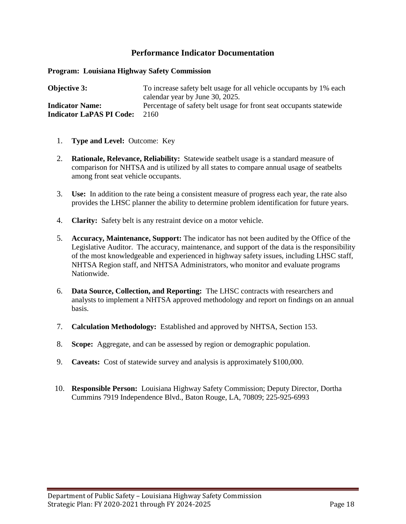**Program: Louisiana Highway Safety Commission** 

**Objective 3:** To increase safety belt usage for all vehicle occupants by 1% each calendar year by June 30, 2025. **Indicator Name:** Percentage of safety belt usage for front seat occupants statewide **Indicator LaPAS PI Code:** 2160

- 1. **Type and Level:** Outcome: Key
- 2. **Rationale, Relevance, Reliability:** Statewide seatbelt usage is a standard measure of comparison for NHTSA and is utilized by all states to compare annual usage of seatbelts among front seat vehicle occupants.
- 3. **Use:** In addition to the rate being a consistent measure of progress each year, the rate also provides the LHSC planner the ability to determine problem identification for future years.
- 4. **Clarity:** Safety belt is any restraint device on a motor vehicle.
- 5. **Accuracy, Maintenance, Support:** The indicator has not been audited by the Office of the Legislative Auditor. The accuracy, maintenance, and support of the data is the responsibility of the most knowledgeable and experienced in highway safety issues, including LHSC staff, NHTSA Region staff, and NHTSA Administrators, who monitor and evaluate programs Nationwide.
- 6. **Data Source, Collection, and Reporting:** The LHSC contracts with researchers and analysts to implement a NHTSA approved methodology and report on findings on an annual basis.
- 7. **Calculation Methodology:** Established and approved by NHTSA, Section 153.
- 8. **Scope:** Aggregate, and can be assessed by region or demographic population.
- 9. **Caveats:** Cost of statewide survey and analysis is approximately \$100,000.
- 10. **Responsible Person:** Louisiana Highway Safety Commission; Deputy Director, Dortha Cummins 7919 Independence Blvd., Baton Rouge, LA, 70809; 225-925-6993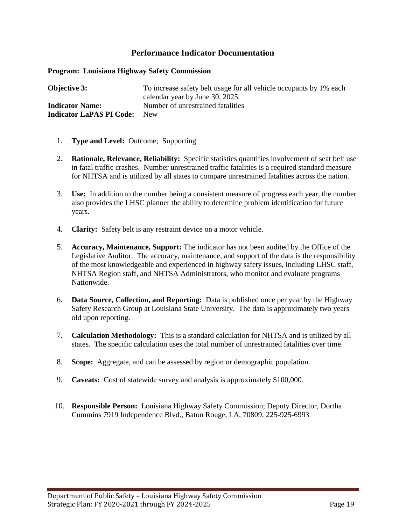**Program: Louisiana Highway Safety Commission** 

**Objective 3:** To increase safety belt usage for all vehicle occupants by 1% each calendar year by June 30, 2025. **Indicator Name:** Number of unrestrained fatalities **Indicator LaPAS PI Code:** New

- 1. **Type and Level:** Outcome; Supporting
- 2. **Rationale, Relevance, Reliability:** Specific statistics quantifies involvement of seat belt use in fatal traffic crashes. Number unrestrained traffic fatalities is a required standard measure for NHTSA and is utilized by all states to compare unrestrained fatalities across the nation.
- 3. **Use:** In addition to the number being a consistent measure of progress each year, the number also provides the LHSC planner the ability to determine problem identification for future years.
- 4. **Clarity:** Safety belt is any restraint device on a motor vehicle.
- 5. **Accuracy, Maintenance, Support:** The indicator has not been audited by the Office of the Legislative Auditor. The accuracy, maintenance, and support of the data is the responsibility of the most knowledgeable and experienced in highway safety issues, including LHSC staff, NHTSA Region staff, and NHTSA Administrators, who monitor and evaluate programs Nationwide.
- 6. **Data Source, Collection, and Reporting:** Data is published once per year by the Highway Safety Research Group at Louisiana State University. The data is approximately two years old upon reporting.
- 7. **Calculation Methodology:** This is a standard calculation for NHTSA and is utilized by all states. The specific calculation uses the total number of unrestrained fatalities over time.
- 8. **Scope:** Aggregate, and can be assessed by region or demographic population.
- 9. **Caveats:** Cost of statewide survey and analysis is approximately \$100,000.
- 10. **Responsible Person:** Louisiana Highway Safety Commission; Deputy Director, Dortha Cummins 7919 Independence Blvd., Baton Rouge, LA, 70809; 225-925-6993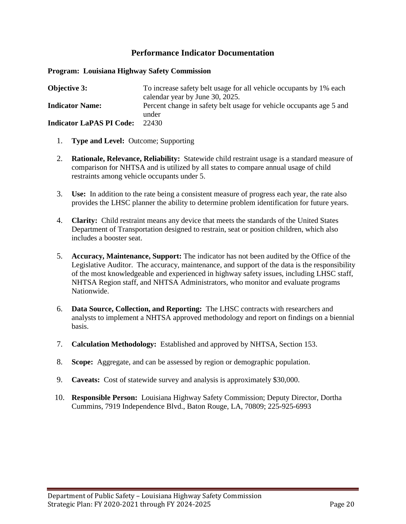#### **Program: Louisiana Highway Safety Commission**

| <b>Objective 3:</b>             | To increase safety belt usage for all vehicle occupants by 1% each  |
|---------------------------------|---------------------------------------------------------------------|
|                                 | calendar year by June 30, 2025.                                     |
| <b>Indicator Name:</b>          | Percent change in safety belt usage for vehicle occupants age 5 and |
|                                 | under                                                               |
| <b>Indicator LaPAS PI Code:</b> | 22430                                                               |

- 1. **Type and Level:** Outcome; Supporting
- 2. **Rationale, Relevance, Reliability:** Statewide child restraint usage is a standard measure of comparison for NHTSA and is utilized by all states to compare annual usage of child restraints among vehicle occupants under 5.
- 3. **Use:** In addition to the rate being a consistent measure of progress each year, the rate also provides the LHSC planner the ability to determine problem identification for future years.
- 4. **Clarity:** Child restraint means any device that meets the standards of the United States Department of Transportation designed to restrain, seat or position children, which also includes a booster seat.
- 5. **Accuracy, Maintenance, Support:** The indicator has not been audited by the Office of the Legislative Auditor. The accuracy, maintenance, and support of the data is the responsibility of the most knowledgeable and experienced in highway safety issues, including LHSC staff, NHTSA Region staff, and NHTSA Administrators, who monitor and evaluate programs Nationwide.
- 6. **Data Source, Collection, and Reporting:** The LHSC contracts with researchers and analysts to implement a NHTSA approved methodology and report on findings on a biennial basis.
- 7. **Calculation Methodology:** Established and approved by NHTSA, Section 153.
- 8. **Scope:** Aggregate, and can be assessed by region or demographic population.
- 9. **Caveats:** Cost of statewide survey and analysis is approximately \$30,000.
- 10. **Responsible Person:** Louisiana Highway Safety Commission; Deputy Director, Dortha Cummins, 7919 Independence Blvd., Baton Rouge, LA, 70809; 225-925-6993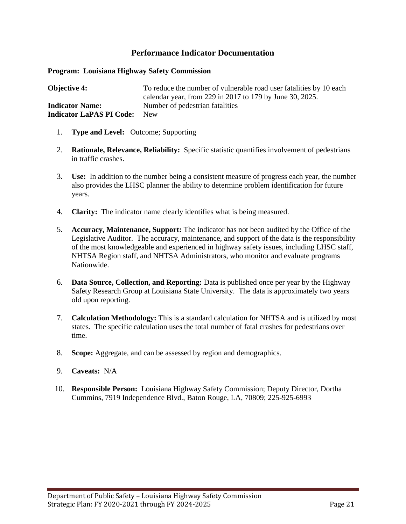**Program: Louisiana Highway Safety Commission** 

**Objective 4:** To reduce the number of vulnerable road user fatalities by 10 each calendar year, from 229 in 2017 to 179 by June 30, 2025. **Indicator Name:** Number of pedestrian fatalities **Indicator LaPAS PI Code:** New

- 1. **Type and Level:** Outcome; Supporting
- 2. **Rationale, Relevance, Reliability:** Specific statistic quantifies involvement of pedestrians in traffic crashes.
- 3. **Use:** In addition to the number being a consistent measure of progress each year, the number also provides the LHSC planner the ability to determine problem identification for future years.
- 4. **Clarity:** The indicator name clearly identifies what is being measured.
- 5. **Accuracy, Maintenance, Support:** The indicator has not been audited by the Office of the Legislative Auditor. The accuracy, maintenance, and support of the data is the responsibility of the most knowledgeable and experienced in highway safety issues, including LHSC staff, NHTSA Region staff, and NHTSA Administrators, who monitor and evaluate programs Nationwide.
- 6. **Data Source, Collection, and Reporting:** Data is published once per year by the Highway Safety Research Group at Louisiana State University. The data is approximately two years old upon reporting.
- 7. **Calculation Methodology:** This is a standard calculation for NHTSA and is utilized by most states. The specific calculation uses the total number of fatal crashes for pedestrians over time.
- 8. **Scope:** Aggregate, and can be assessed by region and demographics.
- 9. **Caveats:** N/A
- 10. **Responsible Person:** Louisiana Highway Safety Commission; Deputy Director, Dortha Cummins, 7919 Independence Blvd., Baton Rouge, LA, 70809; 225-925-6993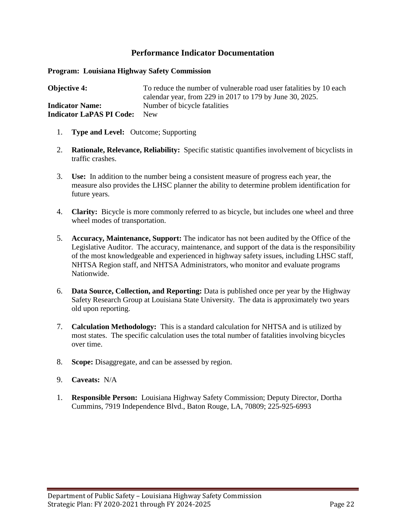**Program: Louisiana Highway Safety Commission** 

**Objective 4:** To reduce the number of vulnerable road user fatalities by 10 each calendar year, from 229 in 2017 to 179 by June 30, 2025. **Indicator Name:** Number of bicycle fatalities **Indicator LaPAS PI Code:** New

- 1. **Type and Level:** Outcome; Supporting
- 2. **Rationale, Relevance, Reliability:** Specific statistic quantifies involvement of bicyclists in traffic crashes.
- 3. **Use:** In addition to the number being a consistent measure of progress each year, the measure also provides the LHSC planner the ability to determine problem identification for future years.
- 4. **Clarity:** Bicycle is more commonly referred to as bicycle, but includes one wheel and three wheel modes of transportation.
- 5. **Accuracy, Maintenance, Support:** The indicator has not been audited by the Office of the Legislative Auditor. The accuracy, maintenance, and support of the data is the responsibility of the most knowledgeable and experienced in highway safety issues, including LHSC staff, NHTSA Region staff, and NHTSA Administrators, who monitor and evaluate programs Nationwide.
- 6. **Data Source, Collection, and Reporting:** Data is published once per year by the Highway Safety Research Group at Louisiana State University. The data is approximately two years old upon reporting.
- 7. **Calculation Methodology:** This is a standard calculation for NHTSA and is utilized by most states. The specific calculation uses the total number of fatalities involving bicycles over time.
- 8. **Scope:** Disaggregate, and can be assessed by region.
- 9. **Caveats:** N/A
- 1. **Responsible Person:** Louisiana Highway Safety Commission; Deputy Director, Dortha Cummins, 7919 Independence Blvd., Baton Rouge, LA, 70809; 225-925-6993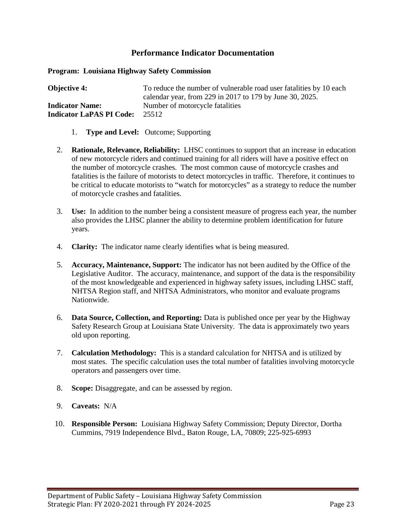**Program: Louisiana Highway Safety Commission** 

**Objective 4:** To reduce the number of vulnerable road user fatalities by 10 each calendar year, from 229 in 2017 to 179 by June 30, 2025. **Indicator Name:** Number of motorcycle fatalities **Indicator LaPAS PI Code:** 25512

- 1. **Type and Level:** Outcome; Supporting
- 2. **Rationale, Relevance, Reliability:** LHSC continues to support that an increase in education of new motorcycle riders and continued training for all riders will have a positive effect on the number of motorcycle crashes. The most common cause of motorcycle crashes and fatalities is the failure of motorists to detect motorcycles in traffic. Therefore, it continues to be critical to educate motorists to "watch for motorcycles" as a strategy to reduce the number of motorcycle crashes and fatalities.
- 3. **Use:** In addition to the number being a consistent measure of progress each year, the number also provides the LHSC planner the ability to determine problem identification for future years.
- 4. **Clarity:** The indicator name clearly identifies what is being measured.
- 5. **Accuracy, Maintenance, Support:** The indicator has not been audited by the Office of the Legislative Auditor. The accuracy, maintenance, and support of the data is the responsibility of the most knowledgeable and experienced in highway safety issues, including LHSC staff, NHTSA Region staff, and NHTSA Administrators, who monitor and evaluate programs Nationwide.
- 6. **Data Source, Collection, and Reporting:** Data is published once per year by the Highway Safety Research Group at Louisiana State University. The data is approximately two years old upon reporting.
- 7. **Calculation Methodology:** This is a standard calculation for NHTSA and is utilized by most states. The specific calculation uses the total number of fatalities involving motorcycle operators and passengers over time.
- 8. **Scope:** Disaggregate, and can be assessed by region.
- 9. **Caveats:** N/A
- 10. **Responsible Person:** Louisiana Highway Safety Commission; Deputy Director, Dortha Cummins, 7919 Independence Blvd., Baton Rouge, LA, 70809; 225-925-6993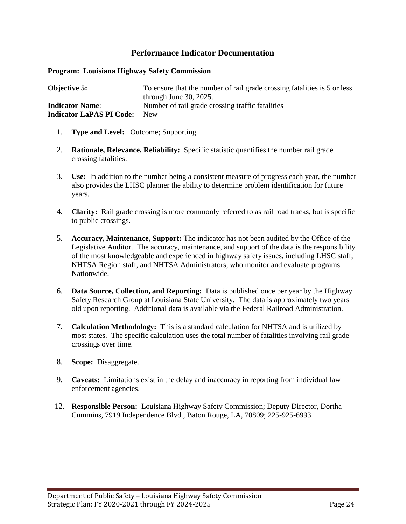**Program: Louisiana Highway Safety Commission** 

| <b>Objective 5:</b>             | To ensure that the number of rail grade crossing fatalities is 5 or less |
|---------------------------------|--------------------------------------------------------------------------|
|                                 | through June $30, 2025$ .                                                |
| <b>Indicator Name:</b>          | Number of rail grade crossing traffic fatalities                         |
| <b>Indicator LaPAS PI Code:</b> | <b>New</b>                                                               |

- 1. **Type and Level:** Outcome; Supporting
- 2. **Rationale, Relevance, Reliability:** Specific statistic quantifies the number rail grade crossing fatalities.
- 3. **Use:** In addition to the number being a consistent measure of progress each year, the number also provides the LHSC planner the ability to determine problem identification for future years.
- 4. **Clarity:** Rail grade crossing is more commonly referred to as rail road tracks, but is specific to public crossings.
- 5. **Accuracy, Maintenance, Support:** The indicator has not been audited by the Office of the Legislative Auditor. The accuracy, maintenance, and support of the data is the responsibility of the most knowledgeable and experienced in highway safety issues, including LHSC staff, NHTSA Region staff, and NHTSA Administrators, who monitor and evaluate programs Nationwide.
- 6. **Data Source, Collection, and Reporting:** Data is published once per year by the Highway Safety Research Group at Louisiana State University. The data is approximately two years old upon reporting. Additional data is available via the Federal Railroad Administration.
- 7. **Calculation Methodology:** This is a standard calculation for NHTSA and is utilized by most states. The specific calculation uses the total number of fatalities involving rail grade crossings over time.
- 8. **Scope:** Disaggregate.
- 9. **Caveats:** Limitations exist in the delay and inaccuracy in reporting from individual law enforcement agencies.
- 12. **Responsible Person:** Louisiana Highway Safety Commission; Deputy Director, Dortha Cummins, 7919 Independence Blvd., Baton Rouge, LA, 70809; 225-925-6993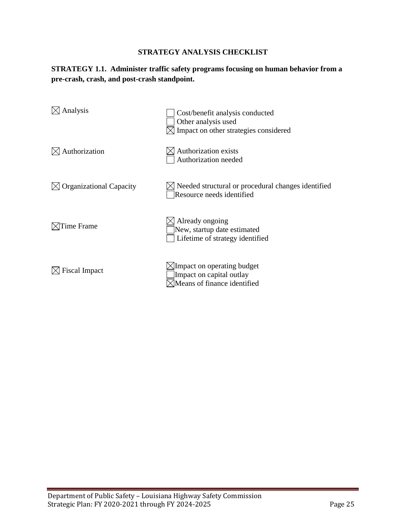## **STRATEGY 1.1. Administer traffic safety programs focusing on human behavior from a pre-crash, crash, and post-crash standpoint.**

| Analysis                       | Cost/benefit analysis conducted<br>Other analysis used<br>Impact on other strategies considered   |
|--------------------------------|---------------------------------------------------------------------------------------------------|
| Authorization                  | Authorization exists<br>Authorization needed                                                      |
| <b>Organizational Capacity</b> | S Needed structural or procedural changes identified<br>Resource needs identified                 |
| Time Frame                     | Already ongoing<br>New, startup date estimated<br>Lifetime of strategy identified                 |
| <b>Fiscal Impact</b>           | $\boxtimes$ Impact on operating budget<br>Impact on capital outlay<br>Means of finance identified |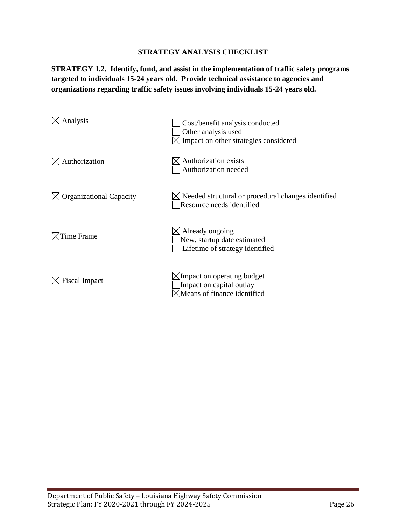**STRATEGY 1.2. Identify, fund, and assist in the implementation of traffic safety programs targeted to individuals 15-24 years old. Provide technical assistance to agencies and organizations regarding traffic safety issues involving individuals 15-24 years old.** 

| Analysis                       | Cost/benefit analysis conducted<br>Other analysis used<br>Impact on other strategies considered   |
|--------------------------------|---------------------------------------------------------------------------------------------------|
| Authorization                  | Authorization exists<br>Authorization needed                                                      |
| <b>Organizational Capacity</b> | $\angle$ Needed structural or procedural changes identified<br>Resource needs identified          |
| <b>Time Frame</b>              | $\boxtimes$ Already ongoing<br>New, startup date estimated<br>Lifetime of strategy identified     |
| <b>Fiscal Impact</b>           | $\boxtimes$ Impact on operating budget<br>Impact on capital outlay<br>Means of finance identified |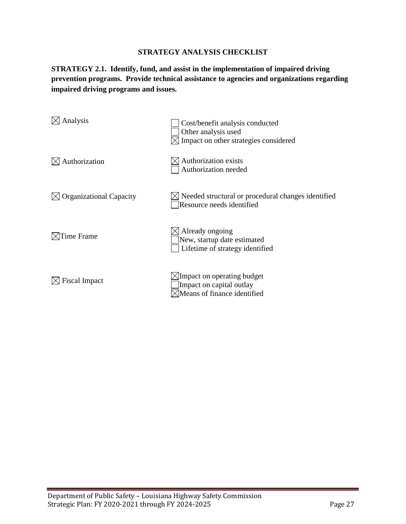**STRATEGY 2.1. Identify, fund, and assist in the implementation of impaired driving prevention programs. Provide technical assistance to agencies and organizations regarding impaired driving programs and issues.**

| Analysis                       | Cost/benefit analysis conducted<br>Other analysis used<br>Impact on other strategies considered |
|--------------------------------|-------------------------------------------------------------------------------------------------|
| Authorization                  | Authorization exists<br>Authorization needed                                                    |
| <b>Organizational Capacity</b> | $\times$ Needed structural or procedural changes identified<br>Resource needs identified        |
| Time Frame                     | Already ongoing<br>New, startup date estimated<br>Lifetime of strategy identified               |
| <b>Fiscal Impact</b>           | $\times$ Impact on operating budget<br>Impact on capital outlay<br>Means of finance identified  |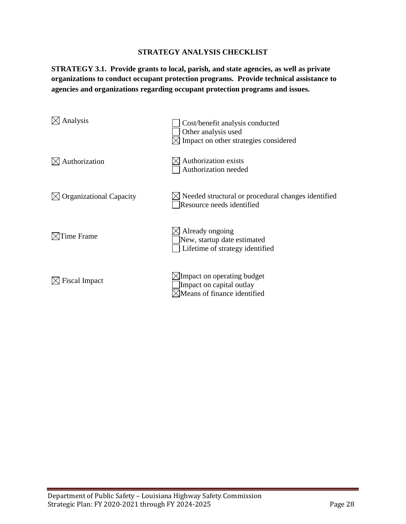**STRATEGY 3.1. Provide grants to local, parish, and state agencies, as well as private organizations to conduct occupant protection programs. Provide technical assistance to agencies and organizations regarding occupant protection programs and issues.**

| Analysis                       | Cost/benefit analysis conducted<br>Other analysis used<br>$\times$ Impact on other strategies considered |
|--------------------------------|----------------------------------------------------------------------------------------------------------|
| Authorization                  | Authorization exists<br>Authorization needed                                                             |
| <b>Organizational Capacity</b> | $\times$ Needed structural or procedural changes identified<br>Resource needs identified                 |
| Time Frame                     | $\boxtimes$ Already ongoing<br>New, startup date estimated<br>Lifetime of strategy identified            |
| <b>Fiscal Impact</b>           | $\times$ Impact on operating budget<br>Impact on capital outlay<br>Means of finance identified           |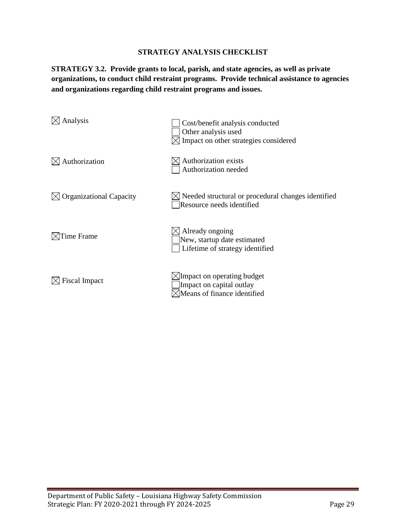**STRATEGY 3.2. Provide grants to local, parish, and state agencies, as well as private organizations, to conduct child restraint programs. Provide technical assistance to agencies and organizations regarding child restraint programs and issues.**

| Analysis                       | Cost/benefit analysis conducted<br>Other analysis used<br>Impact on other strategies considered |
|--------------------------------|-------------------------------------------------------------------------------------------------|
| Authorization                  | Authorization exists<br>Authorization needed                                                    |
| <b>Organizational Capacity</b> | $\triangleleft$ Needed structural or procedural changes identified<br>Resource needs identified |
| Time Frame                     | Already ongoing<br>New, startup date estimated<br>Lifetime of strategy identified               |
| <b>Fiscal Impact</b>           | $\times$ Impact on operating budget<br>Impact on capital outlay<br>Means of finance identified  |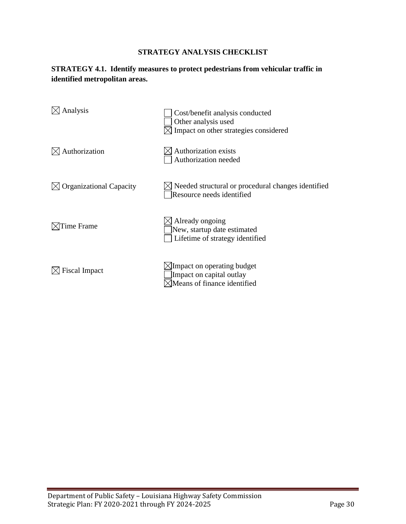# **STRATEGY 4.1. Identify measures to protect pedestrians from vehicular traffic in identified metropolitan areas.**

| Analysis                       | Cost/benefit analysis conducted<br>Other analysis used<br>Impact on other strategies considered |
|--------------------------------|-------------------------------------------------------------------------------------------------|
| Authorization                  | Authorization exists<br>Authorization needed                                                    |
| <b>Organizational Capacity</b> | Needed structural or procedural changes identified<br>Resource needs identified                 |
| ime Frame                      | Already ongoing<br>New, startup date estimated<br>Lifetime of strategy identified               |
| <b>Fiscal Impact</b>           | $\times$ Impact on operating budget<br>Impact on capital outlay<br>Means of finance identified  |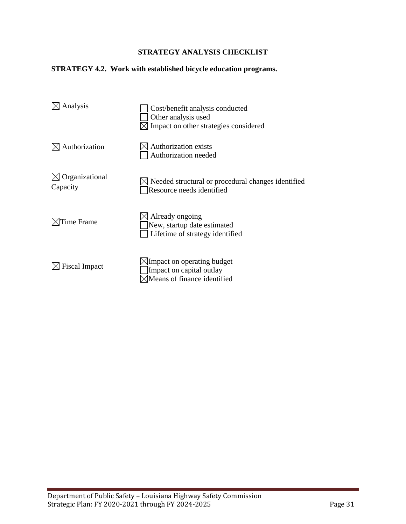## **STRATEGY 4.2. Work with established bicycle education programs.**

| Analysis                   | Cost/benefit analysis conducted<br>Other analysis used<br>Impact on other strategies considered |
|----------------------------|-------------------------------------------------------------------------------------------------|
| Authorization              | Authorization exists<br>Authorization needed                                                    |
| Organizational<br>Capacity | Needed structural or procedural changes identified<br>Resource needs identified                 |
| Time Frame                 | Already ongoing<br>New, startup date estimated<br>Lifetime of strategy identified               |
| <b>Fiscal Impact</b>       | Impact on operating budget<br>Impact on capital outlay<br>Means of finance identified           |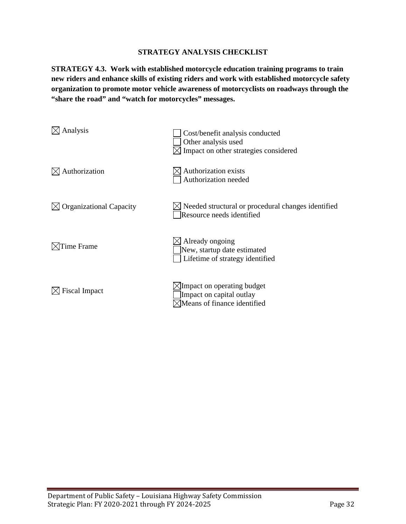**STRATEGY 4.3. Work with established motorcycle education training programs to train new riders and enhance skills of existing riders and work with established motorcycle safety organization to promote motor vehicle awareness of motorcyclists on roadways through the "share the road" and "watch for motorcycles" messages.**

| Analysis                       | Cost/benefit analysis conducted<br>Other analysis used<br>Impact on other strategies considered           |
|--------------------------------|-----------------------------------------------------------------------------------------------------------|
| Authorization                  | Authorization exists<br>Authorization needed                                                              |
| <b>Organizational Capacity</b> | $\boxtimes$ Needed structural or procedural changes identified<br>Resource needs identified               |
| Time Frame                     | $\boxtimes$ Already ongoing<br>New, startup date estimated<br>Lifetime of strategy identified             |
| <b>Fiscal Impact</b>           | $\angle$ Impact on operating budget<br>Impact on capital outlay<br>$\sqrt{2}$ Means of finance identified |